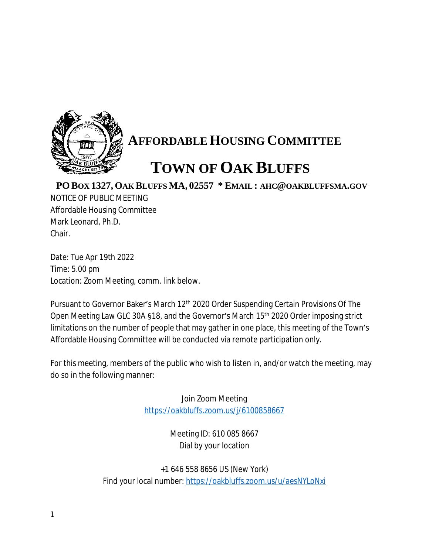

## **AFFORDABLE HOUSING COMMITTEE**

## **TOWN OF OAK BLUFFS**

**PO BOX 1327, OAK BLUFFS MA, 02557 \* EMAIL : AHC@OAKBLUFFSMA.GOV**

NOTICE OF PUBLIC MEETING Affordable Housing Committee Mark Leonard, Ph.D. Chair.

Date: Tue Apr 19th 2022 Time: 5.00 pm Location: Zoom Meeting, comm. link below.

Pursuant to Governor Baker's March 12<sup>th</sup> 2020 Order Suspending Certain Provisions Of The Open Meeting Law GLC 30A §18, and the Governor's March 15th 2020 Order imposing strict limitations on the number of people that may gather in one place, this meeting of the Town's Affordable Housing Committee will be conducted via remote participation only.

For this meeting, members of the public who wish to listen in, and/or watch the meeting, may do so in the following manner:

> Join Zoom Meeting <https://oakbluffs.zoom.us/j/6100858667>

> > Meeting ID: 610 085 8667 Dial by your location

+1 646 558 8656 US (New York) Find your local number: <https://oakbluffs.zoom.us/u/aesNYLoNxi>